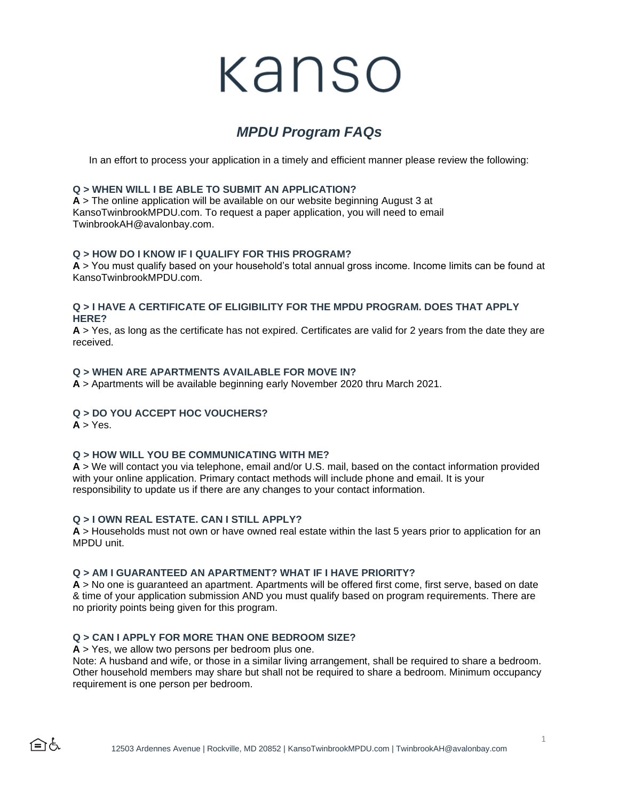# kanso

# *MPDU Program FAQs*

In an effort to process your application in a timely and efficient manner please review the following:

#### **Q > WHEN WILL I BE ABLE TO SUBMIT AN APPLICATION?**

**A** > The online application will be available on our website beginning August 3 at KansoTwinbrookMPDU.com. To request a paper application, you will need to email TwinbrookAH@avalonbay.com.

#### **Q > HOW DO I KNOW IF I QUALIFY FOR THIS PROGRAM?**

**A** > You must qualify based on your household's total annual gross income. Income limits can be found at KansoTwinbrookMPDU.com.

#### **Q > I HAVE A CERTIFICATE OF ELIGIBILITY FOR THE MPDU PROGRAM. DOES THAT APPLY HERE?**

**A** > Yes, as long as the certificate has not expired. Certificates are valid for 2 years from the date they are received.

#### **Q > WHEN ARE APARTMENTS AVAILABLE FOR MOVE IN?**

**A** > Apartments will be available beginning early November 2020 thru March 2021.

## **Q > DO YOU ACCEPT HOC VOUCHERS?**

 $A > Yes.$ 

合ん

#### **Q > HOW WILL YOU BE COMMUNICATING WITH ME?**

**A** > We will contact you via telephone, email and/or U.S. mail, based on the contact information provided with your online application. Primary contact methods will include phone and email. It is your responsibility to update us if there are any changes to your contact information.

#### **Q > I OWN REAL ESTATE. CAN I STILL APPLY?**

**A** > Households must not own or have owned real estate within the last 5 years prior to application for an MPDU unit.

#### **Q > AM I GUARANTEED AN APARTMENT? WHAT IF I HAVE PRIORITY?**

**A** > No one is guaranteed an apartment. Apartments will be offered first come, first serve, based on date & time of your application submission AND you must qualify based on program requirements. There are no priority points being given for this program.

#### **Q > CAN I APPLY FOR MORE THAN ONE BEDROOM SIZE?**

**A** > Yes, we allow two persons per bedroom plus one.

Note: A husband and wife, or those in a similar living arrangement, shall be required to share a bedroom. Other household members may share but shall not be required to share a bedroom. Minimum occupancy requirement is one person per bedroom.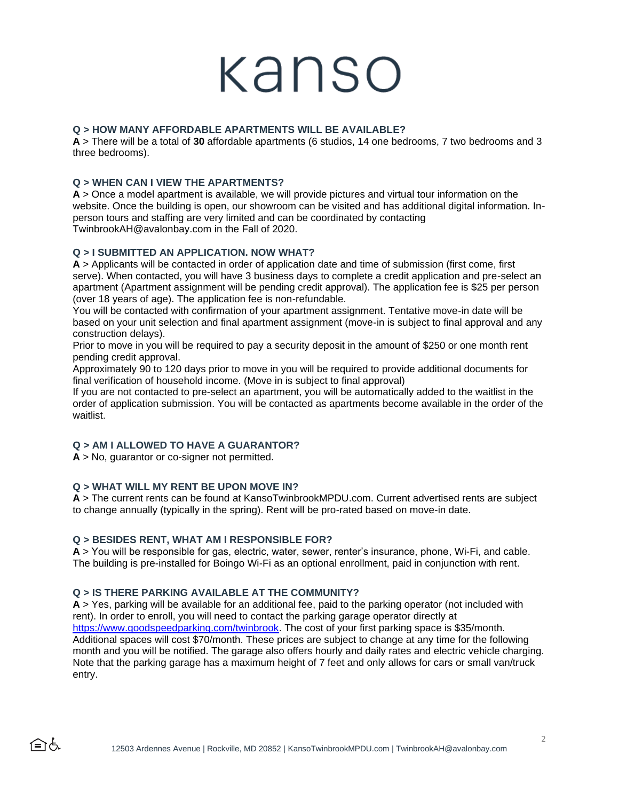# kanso

# **Q > HOW MANY AFFORDABLE APARTMENTS WILL BE AVAILABLE?**

**A** > There will be a total of **30** affordable apartments (6 studios, 14 one bedrooms, 7 two bedrooms and 3 three bedrooms).

# **Q > WHEN CAN I VIEW THE APARTMENTS?**

**A** > Once a model apartment is available, we will provide pictures and virtual tour information on the website. Once the building is open, our showroom can be visited and has additional digital information. Inperson tours and staffing are very limited and can be coordinated by contacting TwinbrookAH@avalonbay.com in the Fall of 2020.

## **Q > I SUBMITTED AN APPLICATION. NOW WHAT?**

**A** > Applicants will be contacted in order of application date and time of submission (first come, first serve). When contacted, you will have 3 business days to complete a credit application and pre-select an apartment (Apartment assignment will be pending credit approval). The application fee is \$25 per person (over 18 years of age). The application fee is non-refundable.

You will be contacted with confirmation of your apartment assignment. Tentative move-in date will be based on your unit selection and final apartment assignment (move-in is subject to final approval and any construction delays).

Prior to move in you will be required to pay a security deposit in the amount of \$250 or one month rent pending credit approval.

Approximately 90 to 120 days prior to move in you will be required to provide additional documents for final verification of household income. (Move in is subject to final approval)

If you are not contacted to pre-select an apartment, you will be automatically added to the waitlist in the order of application submission. You will be contacted as apartments become available in the order of the waitlist.

# **Q > AM I ALLOWED TO HAVE A GUARANTOR?**

**A** > No, guarantor or co-signer not permitted.

## **Q > WHAT WILL MY RENT BE UPON MOVE IN?**

**A** > The current rents can be found at KansoTwinbrookMPDU.com. Current advertised rents are subject to change annually (typically in the spring). Rent will be pro-rated based on move-in date.

## **Q > BESIDES RENT, WHAT AM I RESPONSIBLE FOR?**

**A** > You will be responsible for gas, electric, water, sewer, renter's insurance, phone, Wi-Fi, and cable. The building is pre-installed for Boingo Wi-Fi as an optional enrollment, paid in conjunction with rent.

## **Q > IS THERE PARKING AVAILABLE AT THE COMMUNITY?**

**A** > Yes, parking will be available for an additional fee, paid to the parking operator (not included with rent). In order to enroll, you will need to contact the parking garage operator directly at [https://www.goodspeedparking.com/twinbrook.](https://www.goodspeedparking.com/twinbrook) The cost of your first parking space is \$35/month. Additional spaces will cost \$70/month. These prices are subject to change at any time for the following month and you will be notified. The garage also offers hourly and daily rates and electric vehicle charging. Note that the parking garage has a maximum height of 7 feet and only allows for cars or small van/truck entry.